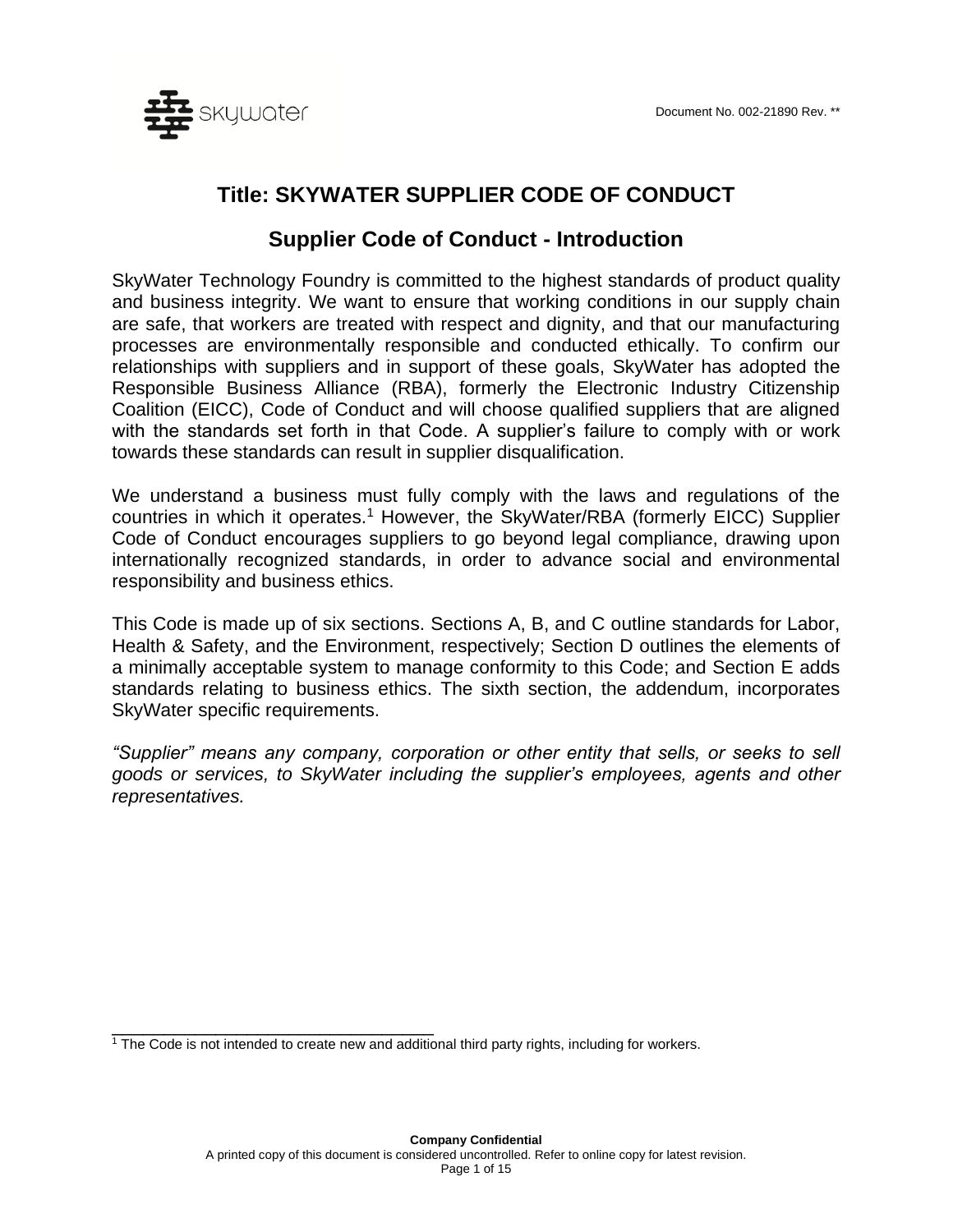

# **Title: SKYWATER SUPPLIER CODE OF CONDUCT**

# **Supplier Code of Conduct - Introduction**

SkyWater Technology Foundry is committed to the highest standards of product quality and business integrity. We want to ensure that working conditions in our supply chain are safe, that workers are treated with respect and dignity, and that our manufacturing processes are environmentally responsible and conducted ethically. To confirm our relationships with suppliers and in support of these goals, SkyWater has adopted the Responsible Business Alliance (RBA), formerly the Electronic Industry Citizenship Coalition (EICC), Code of Conduct and will choose qualified suppliers that are aligned with the standards set forth in that Code. A supplier's failure to comply with or work towards these standards can result in supplier disqualification.

We understand a business must fully comply with the laws and regulations of the countries in which it operates.<sup>1</sup> However, the SkyWater/RBA (formerly EICC) Supplier Code of Conduct encourages suppliers to go beyond legal compliance, drawing upon internationally recognized standards, in order to advance social and environmental responsibility and business ethics.

This Code is made up of six sections. Sections A, B, and C outline standards for Labor, Health & Safety, and the Environment, respectively; Section D outlines the elements of a minimally acceptable system to manage conformity to this Code; and Section E adds standards relating to business ethics. The sixth section, the addendum, incorporates SkyWater specific requirements.

*"Supplier" means any company, corporation or other entity that sells, or seeks to sell goods or services, to SkyWater including the supplier's employees, agents and other representatives.*

\_\_\_\_\_\_\_\_\_\_\_\_\_\_\_\_\_\_\_\_\_\_\_\_\_\_\_\_\_\_\_

<sup>1</sup> The Code is not intended to create new and additional third party rights, including for workers.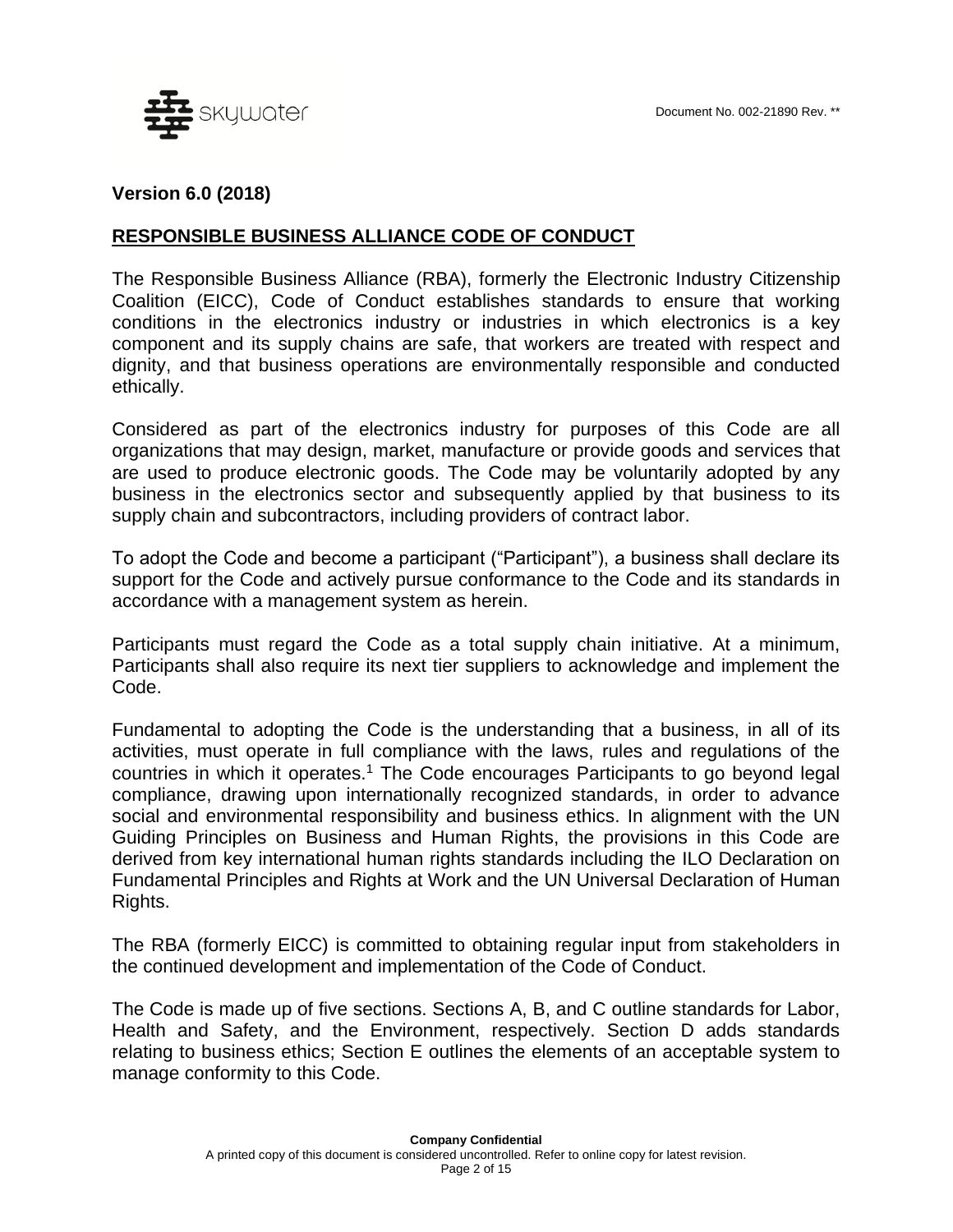

#### **Version 6.0 (2018)**

## **RESPONSIBLE BUSINESS ALLIANCE CODE OF CONDUCT**

The Responsible Business Alliance (RBA), formerly the Electronic Industry Citizenship Coalition (EICC), Code of Conduct establishes standards to ensure that working conditions in the electronics industry or industries in which electronics is a key component and its supply chains are safe, that workers are treated with respect and dignity, and that business operations are environmentally responsible and conducted ethically.

Considered as part of the electronics industry for purposes of this Code are all organizations that may design, market, manufacture or provide goods and services that are used to produce electronic goods. The Code may be voluntarily adopted by any business in the electronics sector and subsequently applied by that business to its supply chain and subcontractors, including providers of contract labor.

To adopt the Code and become a participant ("Participant"), a business shall declare its support for the Code and actively pursue conformance to the Code and its standards in accordance with a management system as herein.

Participants must regard the Code as a total supply chain initiative. At a minimum, Participants shall also require its next tier suppliers to acknowledge and implement the Code.

Fundamental to adopting the Code is the understanding that a business, in all of its activities, must operate in full compliance with the laws, rules and regulations of the countries in which it operates.<sup>1</sup> The Code encourages Participants to go beyond legal compliance, drawing upon internationally recognized standards, in order to advance social and environmental responsibility and business ethics. In alignment with the UN Guiding Principles on Business and Human Rights, the provisions in this Code are derived from key international human rights standards including the ILO Declaration on Fundamental Principles and Rights at Work and the UN Universal Declaration of Human Rights.

The RBA (formerly EICC) is committed to obtaining regular input from stakeholders in the continued development and implementation of the Code of Conduct.

The Code is made up of five sections. Sections A, B, and C outline standards for Labor, Health and Safety, and the Environment, respectively. Section D adds standards relating to business ethics; Section E outlines the elements of an acceptable system to manage conformity to this Code.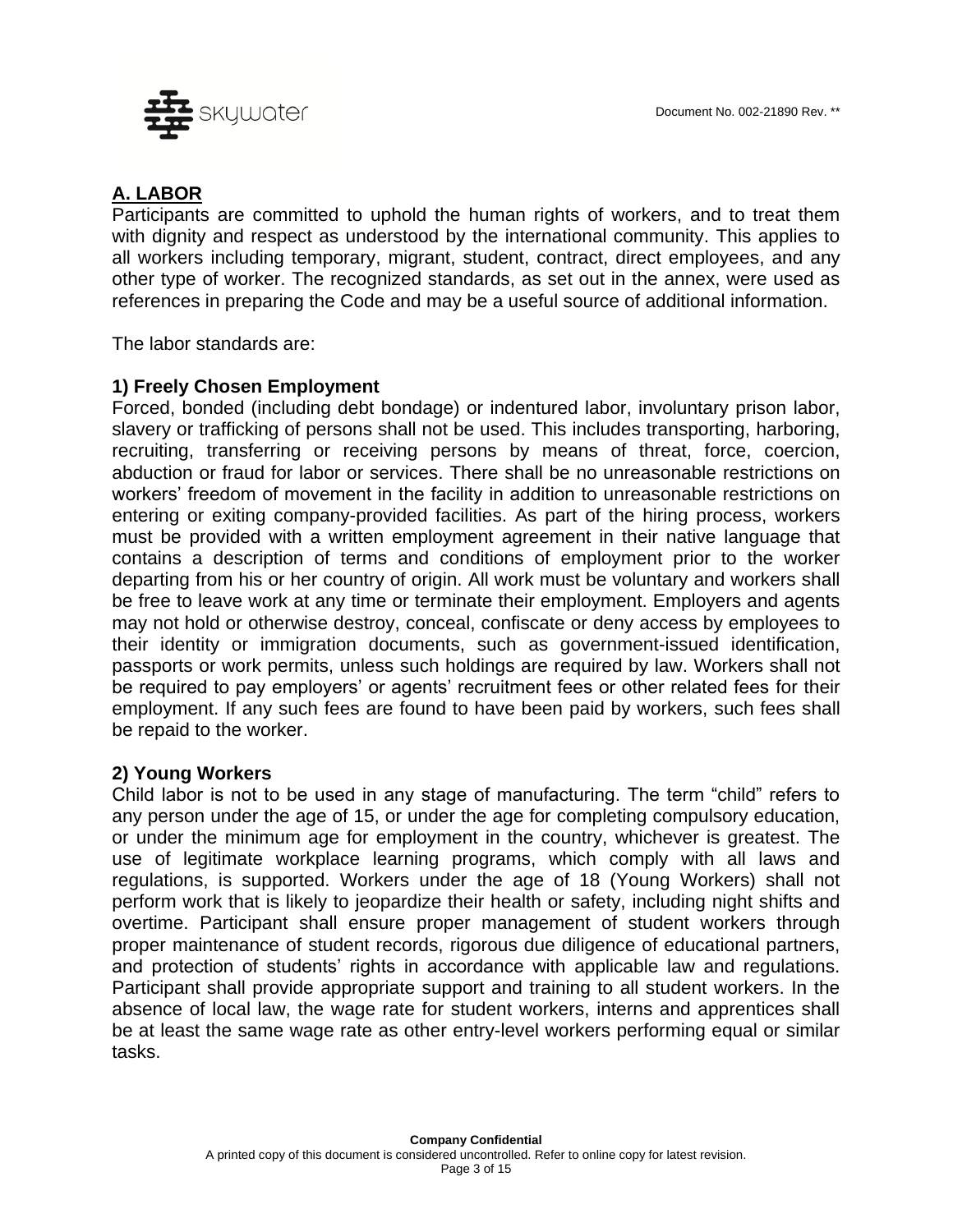

# **A. LABOR**

Participants are committed to uphold the human rights of workers, and to treat them with dignity and respect as understood by the international community. This applies to all workers including temporary, migrant, student, contract, direct employees, and any other type of worker. The recognized standards, as set out in the annex, were used as references in preparing the Code and may be a useful source of additional information.

The labor standards are:

#### **1) Freely Chosen Employment**

Forced, bonded (including debt bondage) or indentured labor, involuntary prison labor, slavery or trafficking of persons shall not be used. This includes transporting, harboring, recruiting, transferring or receiving persons by means of threat, force, coercion, abduction or fraud for labor or services. There shall be no unreasonable restrictions on workers' freedom of movement in the facility in addition to unreasonable restrictions on entering or exiting company-provided facilities. As part of the hiring process, workers must be provided with a written employment agreement in their native language that contains a description of terms and conditions of employment prior to the worker departing from his or her country of origin. All work must be voluntary and workers shall be free to leave work at any time or terminate their employment. Employers and agents may not hold or otherwise destroy, conceal, confiscate or deny access by employees to their identity or immigration documents, such as government-issued identification, passports or work permits, unless such holdings are required by law. Workers shall not be required to pay employers' or agents' recruitment fees or other related fees for their employment. If any such fees are found to have been paid by workers, such fees shall be repaid to the worker.

#### **2) Young Workers**

Child labor is not to be used in any stage of manufacturing. The term "child" refers to any person under the age of 15, or under the age for completing compulsory education, or under the minimum age for employment in the country, whichever is greatest. The use of legitimate workplace learning programs, which comply with all laws and regulations, is supported. Workers under the age of 18 (Young Workers) shall not perform work that is likely to jeopardize their health or safety, including night shifts and overtime. Participant shall ensure proper management of student workers through proper maintenance of student records, rigorous due diligence of educational partners, and protection of students' rights in accordance with applicable law and regulations. Participant shall provide appropriate support and training to all student workers. In the absence of local law, the wage rate for student workers, interns and apprentices shall be at least the same wage rate as other entry-level workers performing equal or similar tasks.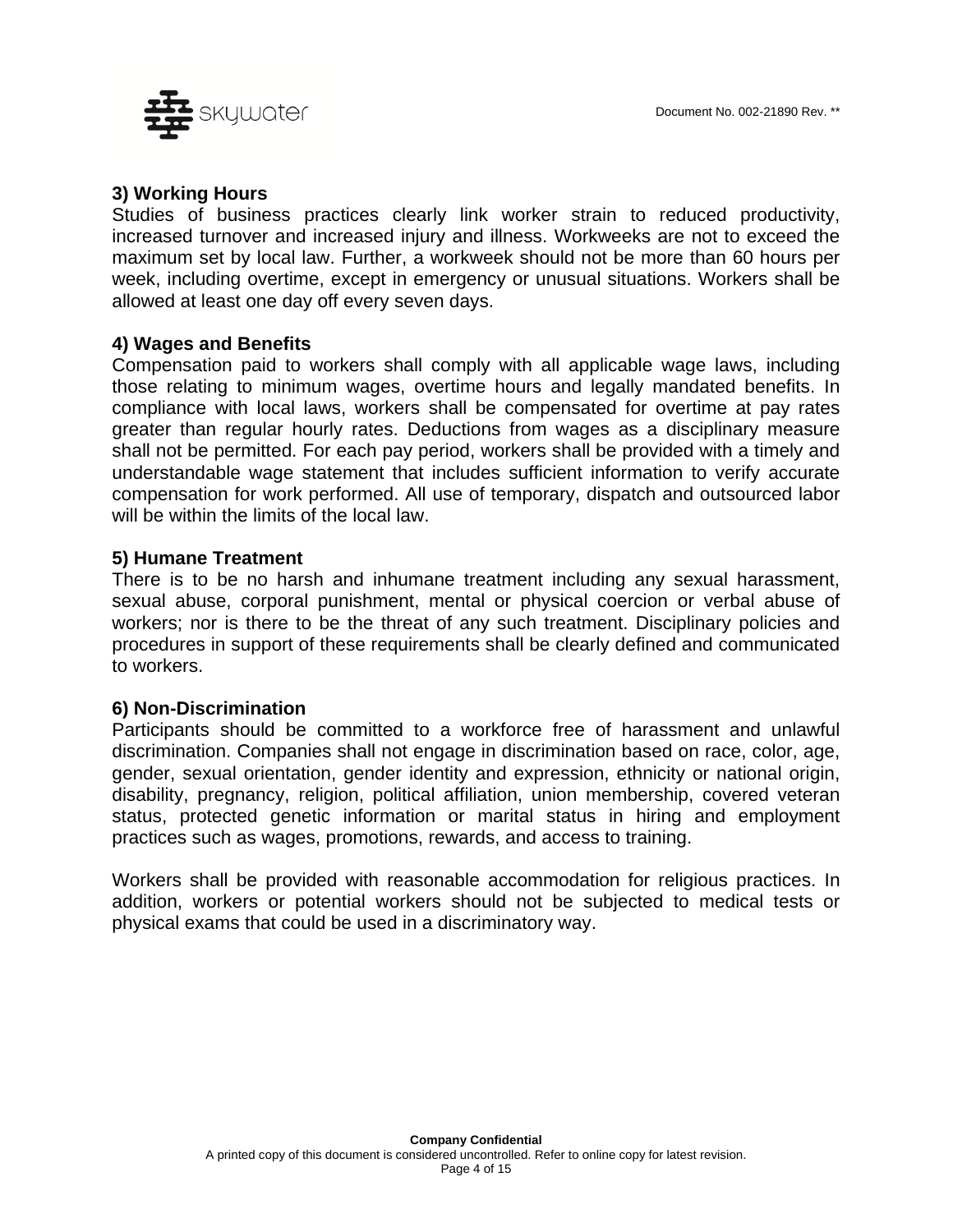

## **3) Working Hours**

Studies of business practices clearly link worker strain to reduced productivity, increased turnover and increased injury and illness. Workweeks are not to exceed the maximum set by local law. Further, a workweek should not be more than 60 hours per week, including overtime, except in emergency or unusual situations. Workers shall be allowed at least one day off every seven days.

#### **4) Wages and Benefits**

Compensation paid to workers shall comply with all applicable wage laws, including those relating to minimum wages, overtime hours and legally mandated benefits. In compliance with local laws, workers shall be compensated for overtime at pay rates greater than regular hourly rates. Deductions from wages as a disciplinary measure shall not be permitted. For each pay period, workers shall be provided with a timely and understandable wage statement that includes sufficient information to verify accurate compensation for work performed. All use of temporary, dispatch and outsourced labor will be within the limits of the local law.

#### **5) Humane Treatment**

There is to be no harsh and inhumane treatment including any sexual harassment, sexual abuse, corporal punishment, mental or physical coercion or verbal abuse of workers; nor is there to be the threat of any such treatment. Disciplinary policies and procedures in support of these requirements shall be clearly defined and communicated to workers.

#### **6) Non-Discrimination**

Participants should be committed to a workforce free of harassment and unlawful discrimination. Companies shall not engage in discrimination based on race, color, age, gender, sexual orientation, gender identity and expression, ethnicity or national origin, disability, pregnancy, religion, political affiliation, union membership, covered veteran status, protected genetic information or marital status in hiring and employment practices such as wages, promotions, rewards, and access to training.

Workers shall be provided with reasonable accommodation for religious practices. In addition, workers or potential workers should not be subjected to medical tests or physical exams that could be used in a discriminatory way.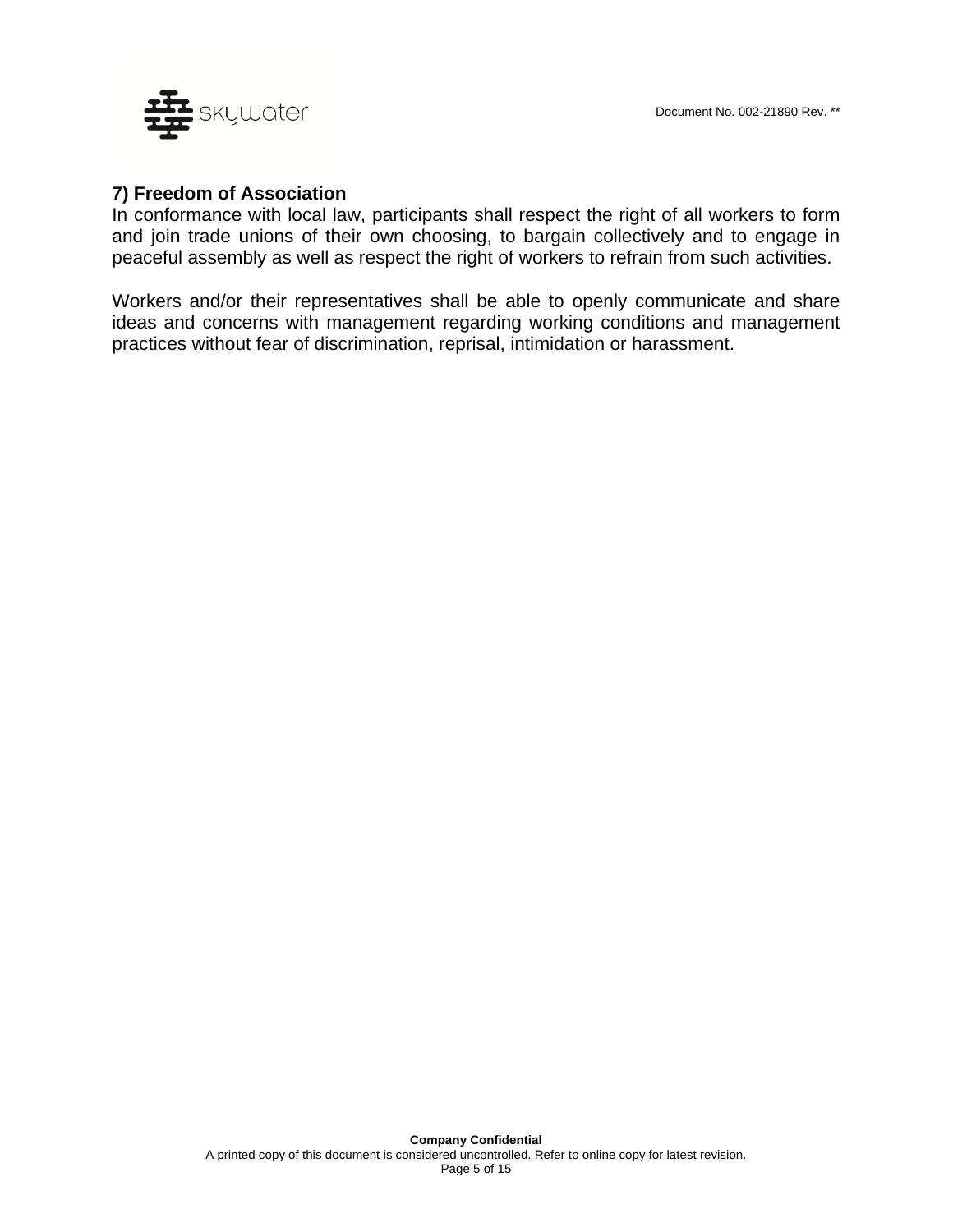

## **7) Freedom of Association**

In conformance with local law, participants shall respect the right of all workers to form and join trade unions of their own choosing, to bargain collectively and to engage in peaceful assembly as well as respect the right of workers to refrain from such activities.

Workers and/or their representatives shall be able to openly communicate and share ideas and concerns with management regarding working conditions and management practices without fear of discrimination, reprisal, intimidation or harassment.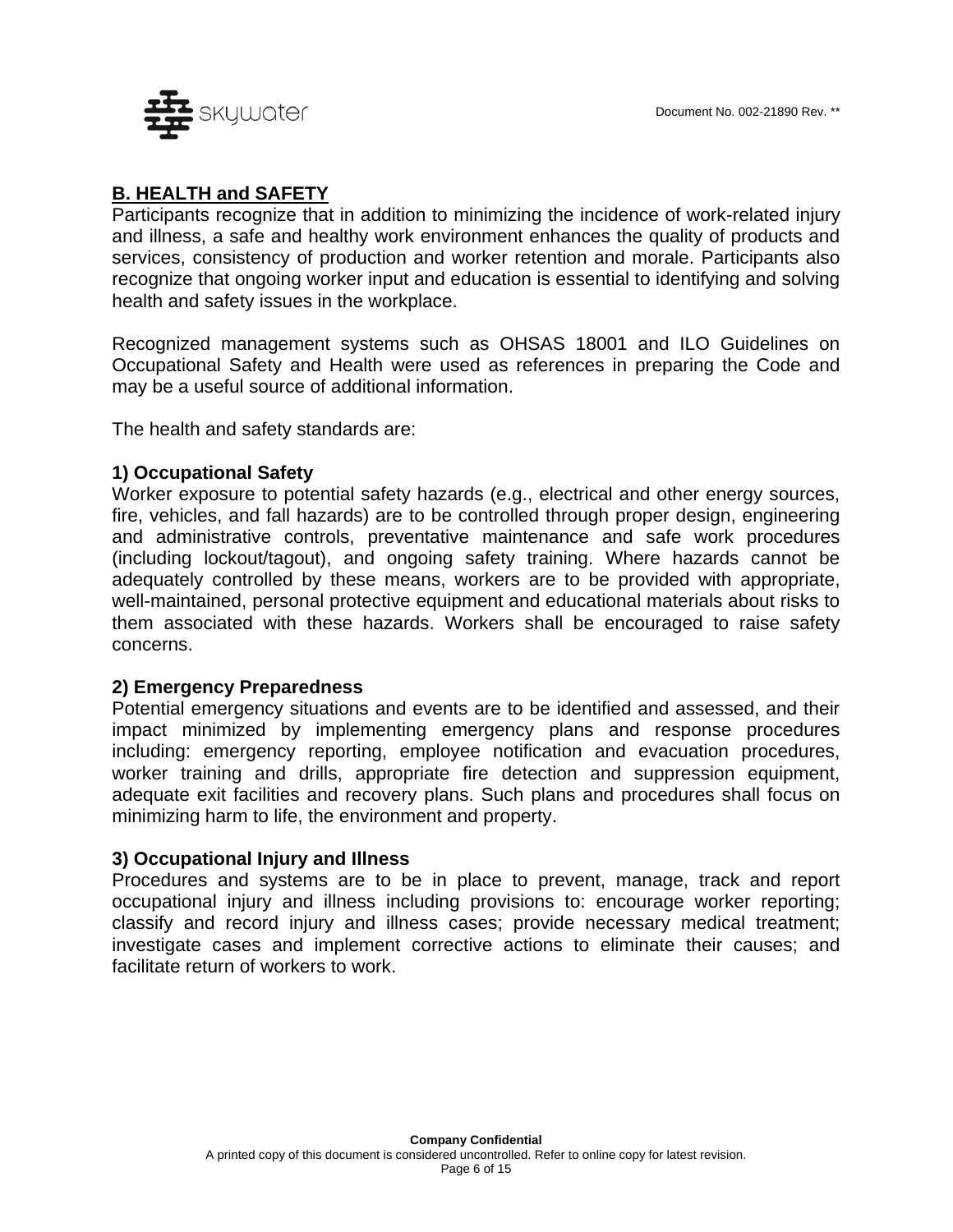

## **B. HEALTH and SAFETY**

Participants recognize that in addition to minimizing the incidence of work-related injury and illness, a safe and healthy work environment enhances the quality of products and services, consistency of production and worker retention and morale. Participants also recognize that ongoing worker input and education is essential to identifying and solving health and safety issues in the workplace.

Recognized management systems such as OHSAS 18001 and ILO Guidelines on Occupational Safety and Health were used as references in preparing the Code and may be a useful source of additional information.

The health and safety standards are:

#### **1) Occupational Safety**

Worker exposure to potential safety hazards (e.g., electrical and other energy sources, fire, vehicles, and fall hazards) are to be controlled through proper design, engineering and administrative controls, preventative maintenance and safe work procedures (including lockout/tagout), and ongoing safety training. Where hazards cannot be adequately controlled by these means, workers are to be provided with appropriate, well-maintained, personal protective equipment and educational materials about risks to them associated with these hazards. Workers shall be encouraged to raise safety concerns.

#### **2) Emergency Preparedness**

Potential emergency situations and events are to be identified and assessed, and their impact minimized by implementing emergency plans and response procedures including: emergency reporting, employee notification and evacuation procedures, worker training and drills, appropriate fire detection and suppression equipment, adequate exit facilities and recovery plans. Such plans and procedures shall focus on minimizing harm to life, the environment and property.

#### **3) Occupational Injury and Illness**

Procedures and systems are to be in place to prevent, manage, track and report occupational injury and illness including provisions to: encourage worker reporting; classify and record injury and illness cases; provide necessary medical treatment; investigate cases and implement corrective actions to eliminate their causes; and facilitate return of workers to work.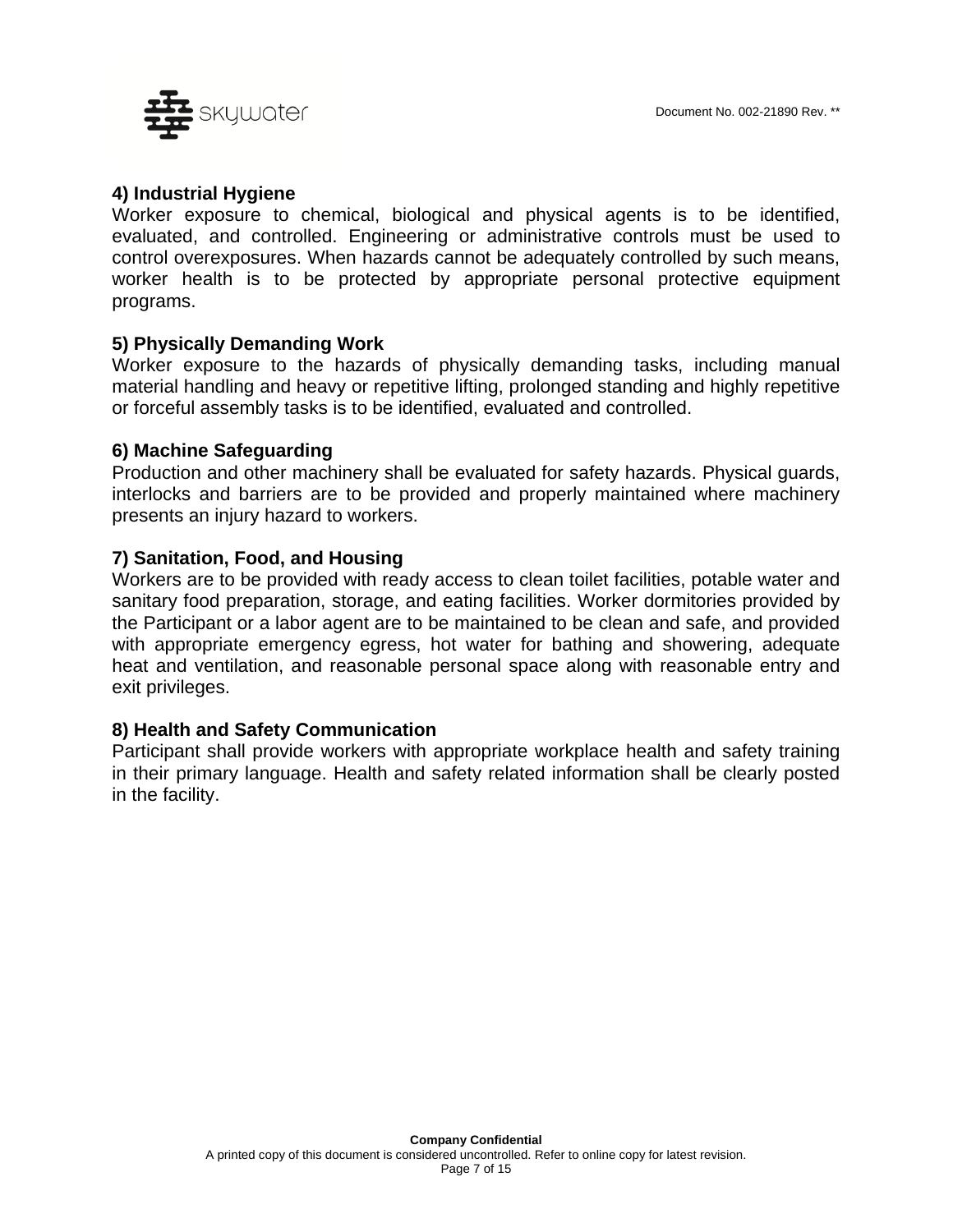

#### **4) Industrial Hygiene**

Worker exposure to chemical, biological and physical agents is to be identified, evaluated, and controlled. Engineering or administrative controls must be used to control overexposures. When hazards cannot be adequately controlled by such means, worker health is to be protected by appropriate personal protective equipment programs.

#### **5) Physically Demanding Work**

Worker exposure to the hazards of physically demanding tasks, including manual material handling and heavy or repetitive lifting, prolonged standing and highly repetitive or forceful assembly tasks is to be identified, evaluated and controlled.

#### **6) Machine Safeguarding**

Production and other machinery shall be evaluated for safety hazards. Physical guards, interlocks and barriers are to be provided and properly maintained where machinery presents an injury hazard to workers.

#### **7) Sanitation, Food, and Housing**

Workers are to be provided with ready access to clean toilet facilities, potable water and sanitary food preparation, storage, and eating facilities. Worker dormitories provided by the Participant or a labor agent are to be maintained to be clean and safe, and provided with appropriate emergency egress, hot water for bathing and showering, adequate heat and ventilation, and reasonable personal space along with reasonable entry and exit privileges.

#### **8) Health and Safety Communication**

Participant shall provide workers with appropriate workplace health and safety training in their primary language. Health and safety related information shall be clearly posted in the facility.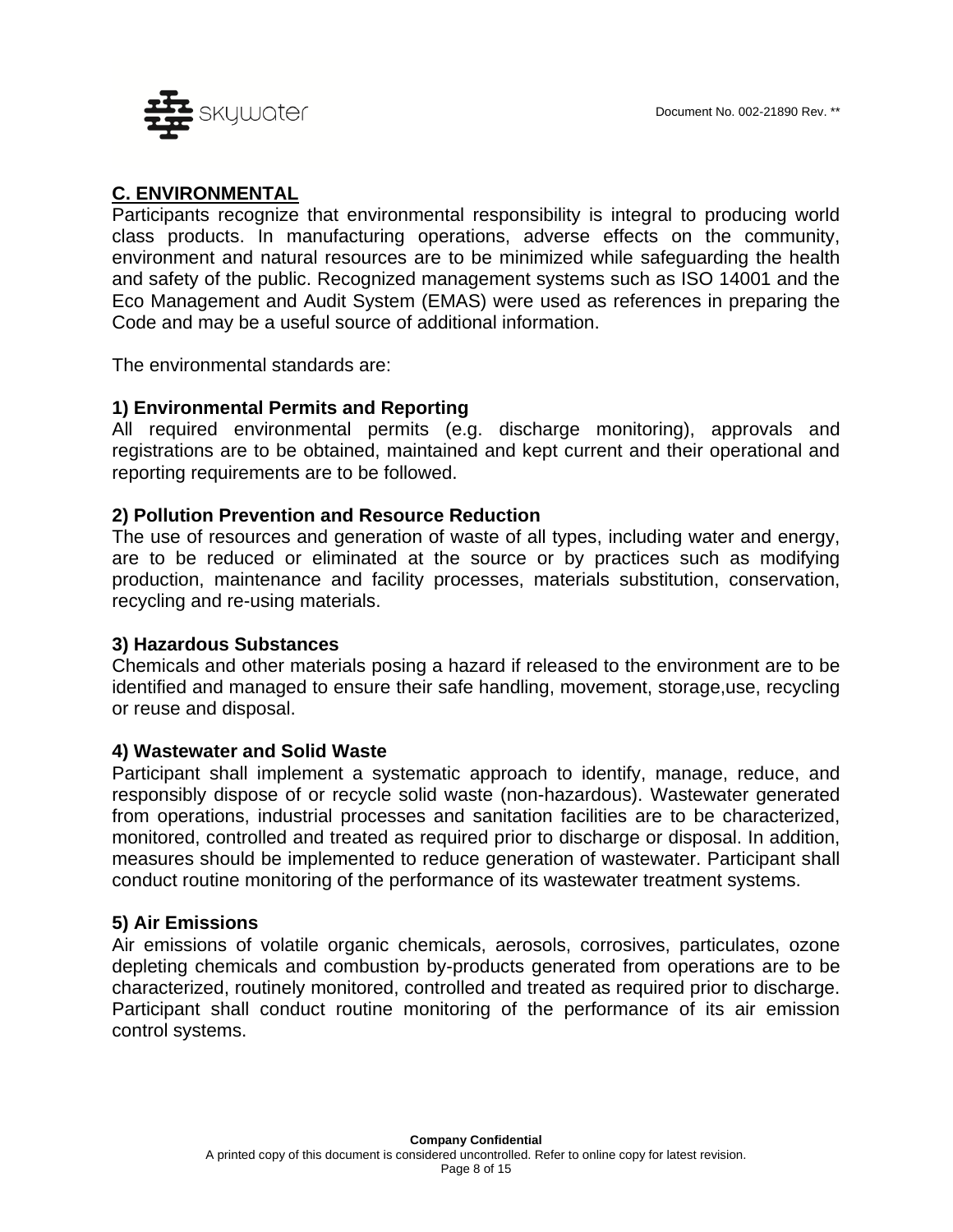

## **C. ENVIRONMENTAL**

Participants recognize that environmental responsibility is integral to producing world class products. In manufacturing operations, adverse effects on the community, environment and natural resources are to be minimized while safeguarding the health and safety of the public. Recognized management systems such as ISO 14001 and the Eco Management and Audit System (EMAS) were used as references in preparing the Code and may be a useful source of additional information.

The environmental standards are:

#### **1) Environmental Permits and Reporting**

All required environmental permits (e.g. discharge monitoring), approvals and registrations are to be obtained, maintained and kept current and their operational and reporting requirements are to be followed.

#### **2) Pollution Prevention and Resource Reduction**

The use of resources and generation of waste of all types, including water and energy, are to be reduced or eliminated at the source or by practices such as modifying production, maintenance and facility processes, materials substitution, conservation, recycling and re-using materials.

#### **3) Hazardous Substances**

Chemicals and other materials posing a hazard if released to the environment are to be identified and managed to ensure their safe handling, movement, storage,use, recycling or reuse and disposal.

#### **4) Wastewater and Solid Waste**

Participant shall implement a systematic approach to identify, manage, reduce, and responsibly dispose of or recycle solid waste (non-hazardous). Wastewater generated from operations, industrial processes and sanitation facilities are to be characterized, monitored, controlled and treated as required prior to discharge or disposal. In addition, measures should be implemented to reduce generation of wastewater. Participant shall conduct routine monitoring of the performance of its wastewater treatment systems.

#### **5) Air Emissions**

Air emissions of volatile organic chemicals, aerosols, corrosives, particulates, ozone depleting chemicals and combustion by-products generated from operations are to be characterized, routinely monitored, controlled and treated as required prior to discharge. Participant shall conduct routine monitoring of the performance of its air emission control systems.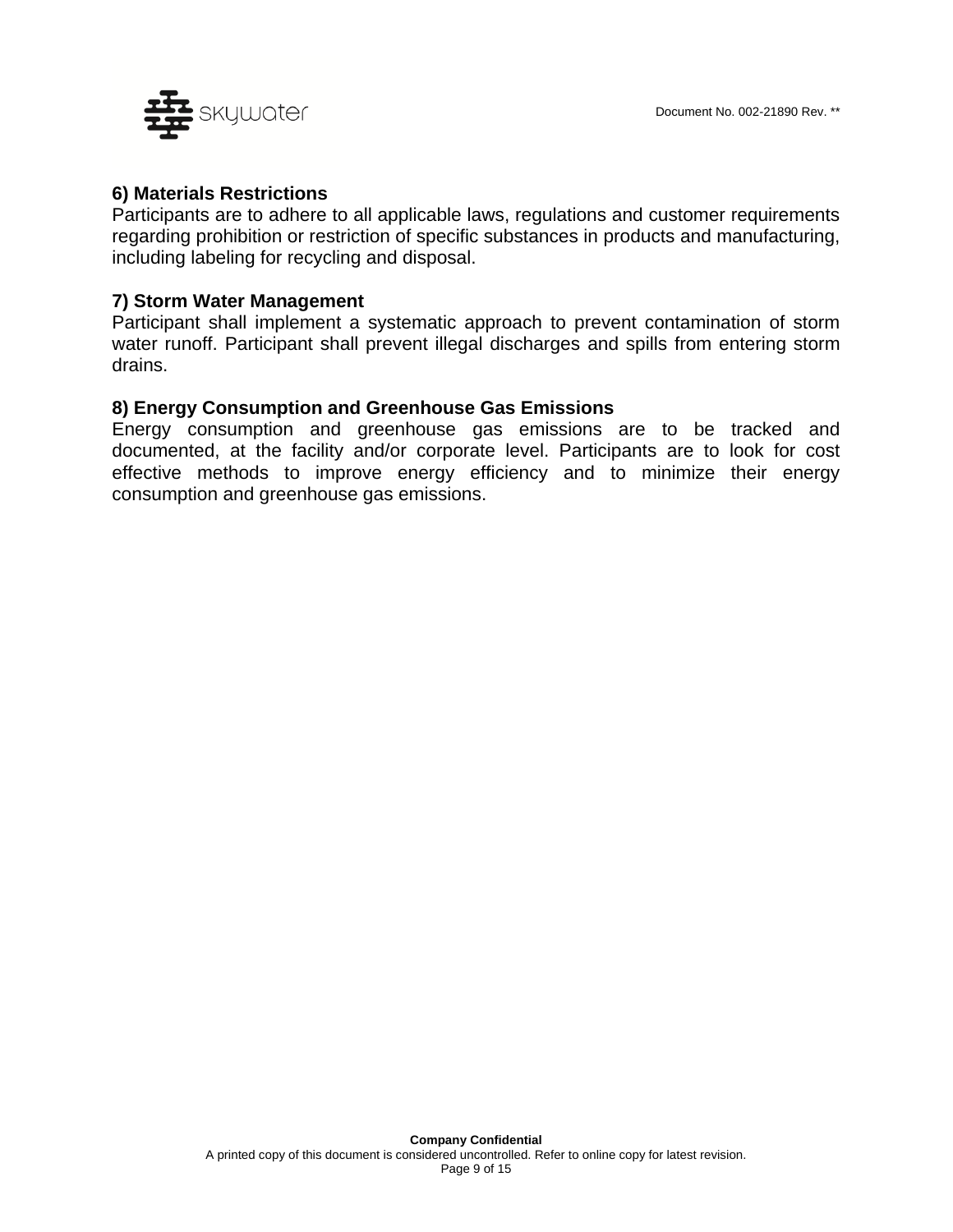

## **6) Materials Restrictions**

Participants are to adhere to all applicable laws, regulations and customer requirements regarding prohibition or restriction of specific substances in products and manufacturing, including labeling for recycling and disposal.

## **7) Storm Water Management**

Participant shall implement a systematic approach to prevent contamination of storm water runoff. Participant shall prevent illegal discharges and spills from entering storm drains.

#### **8) Energy Consumption and Greenhouse Gas Emissions**

Energy consumption and greenhouse gas emissions are to be tracked and documented, at the facility and/or corporate level. Participants are to look for cost effective methods to improve energy efficiency and to minimize their energy consumption and greenhouse gas emissions.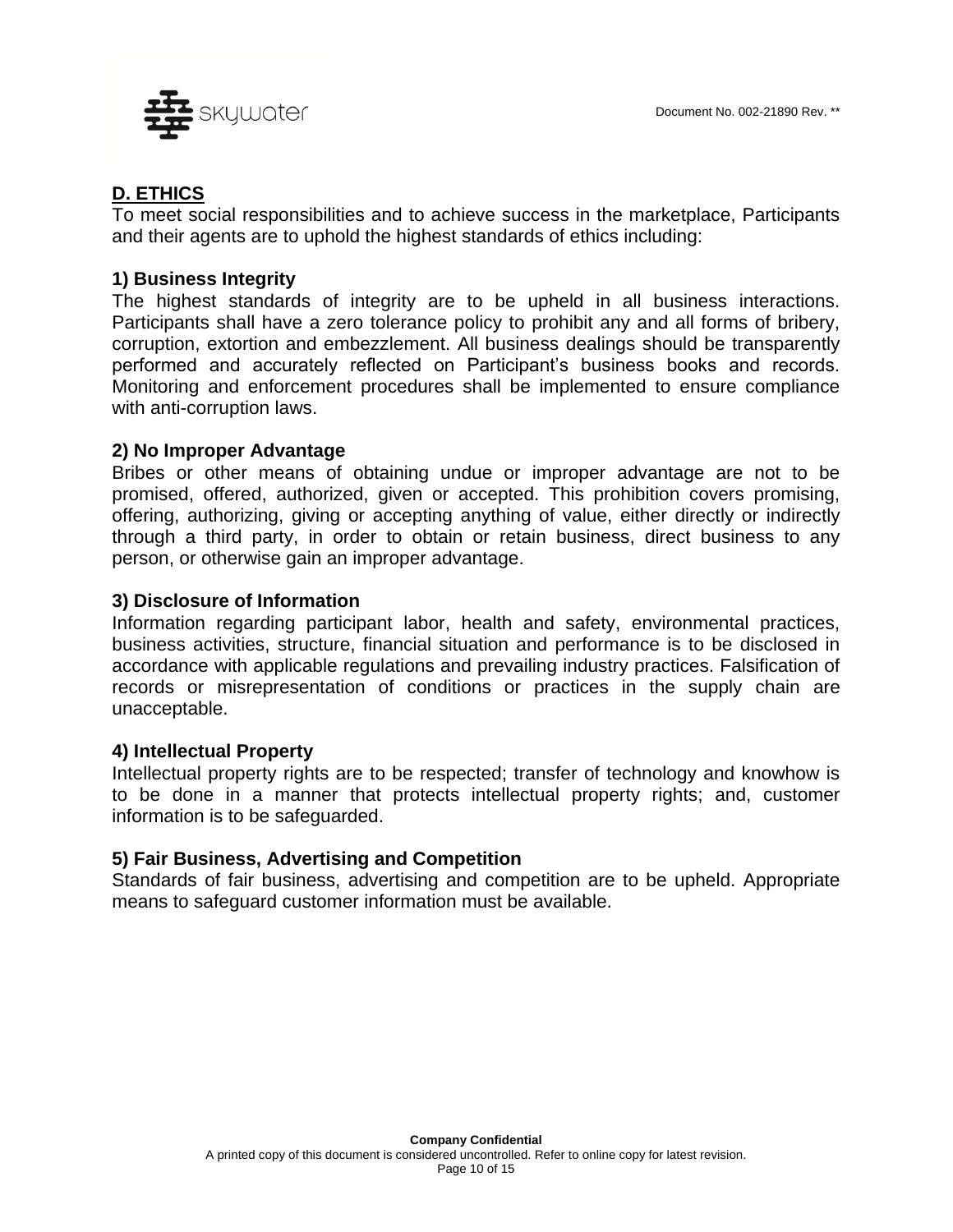

## **D. ETHICS**

To meet social responsibilities and to achieve success in the marketplace, Participants and their agents are to uphold the highest standards of ethics including:

#### **1) Business Integrity**

The highest standards of integrity are to be upheld in all business interactions. Participants shall have a zero tolerance policy to prohibit any and all forms of bribery, corruption, extortion and embezzlement. All business dealings should be transparently performed and accurately reflected on Participant's business books and records. Monitoring and enforcement procedures shall be implemented to ensure compliance with anti-corruption laws.

#### **2) No Improper Advantage**

Bribes or other means of obtaining undue or improper advantage are not to be promised, offered, authorized, given or accepted. This prohibition covers promising, offering, authorizing, giving or accepting anything of value, either directly or indirectly through a third party, in order to obtain or retain business, direct business to any person, or otherwise gain an improper advantage.

#### **3) Disclosure of Information**

Information regarding participant labor, health and safety, environmental practices, business activities, structure, financial situation and performance is to be disclosed in accordance with applicable regulations and prevailing industry practices. Falsification of records or misrepresentation of conditions or practices in the supply chain are unacceptable.

#### **4) Intellectual Property**

Intellectual property rights are to be respected; transfer of technology and knowhow is to be done in a manner that protects intellectual property rights; and, customer information is to be safeguarded.

#### **5) Fair Business, Advertising and Competition**

Standards of fair business, advertising and competition are to be upheld. Appropriate means to safeguard customer information must be available.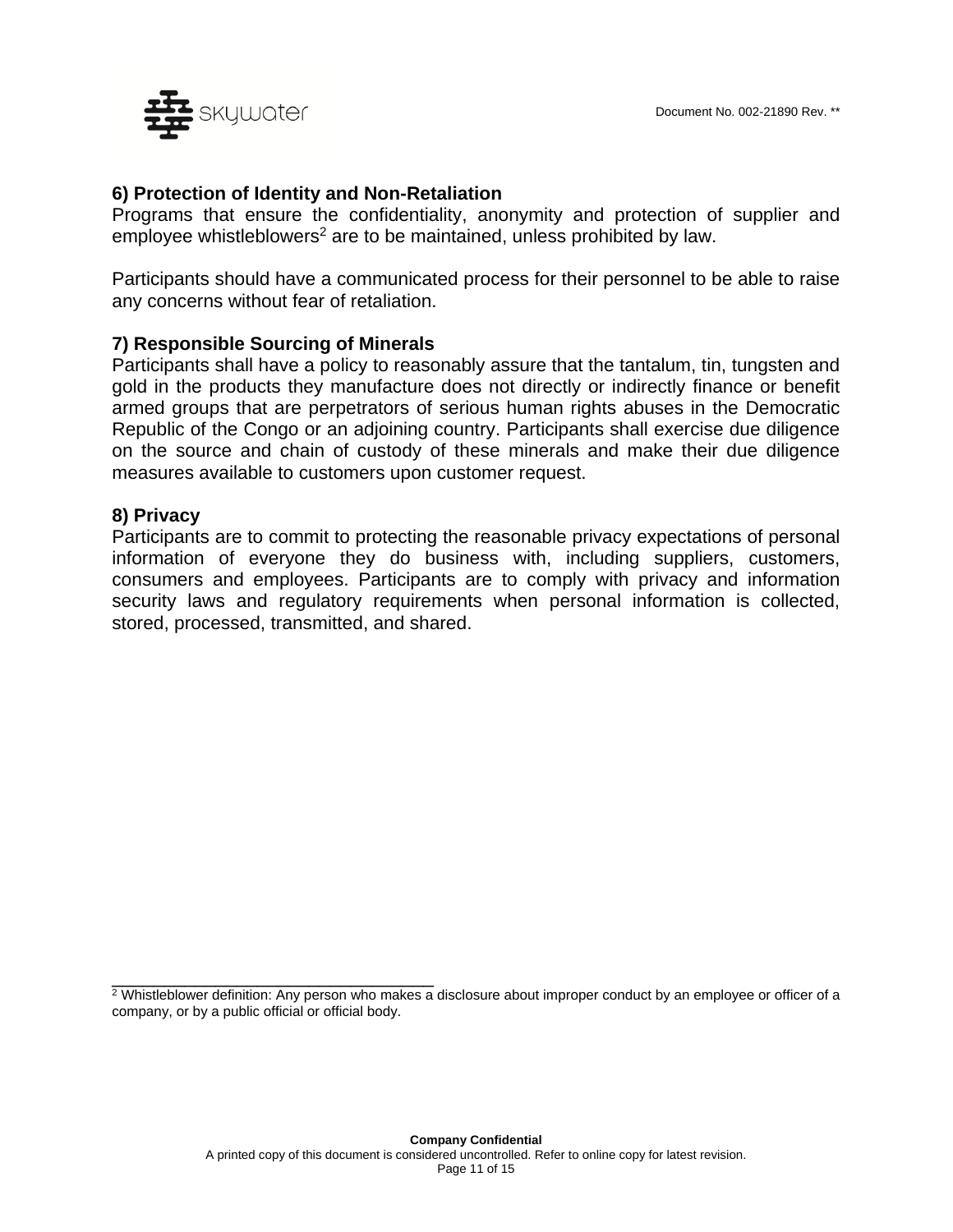

## **6) Protection of Identity and Non-Retaliation**

Programs that ensure the confidentiality, anonymity and protection of supplier and employee whistleblowers<sup>2</sup> are to be maintained, unless prohibited by law.

Participants should have a communicated process for their personnel to be able to raise any concerns without fear of retaliation.

#### **7) Responsible Sourcing of Minerals**

\_\_\_\_\_\_\_\_\_\_\_\_\_\_\_\_\_\_\_\_\_\_\_\_\_\_\_\_\_\_\_

Participants shall have a policy to reasonably assure that the tantalum, tin, tungsten and gold in the products they manufacture does not directly or indirectly finance or benefit armed groups that are perpetrators of serious human rights abuses in the Democratic Republic of the Congo or an adjoining country. Participants shall exercise due diligence on the source and chain of custody of these minerals and make their due diligence measures available to customers upon customer request.

#### **8) Privacy**

Participants are to commit to protecting the reasonable privacy expectations of personal information of everyone they do business with, including suppliers, customers, consumers and employees. Participants are to comply with privacy and information security laws and regulatory requirements when personal information is collected, stored, processed, transmitted, and shared.

<sup>2</sup> Whistleblower definition: Any person who makes a disclosure about improper conduct by an employee or officer of a company, or by a public official or official body.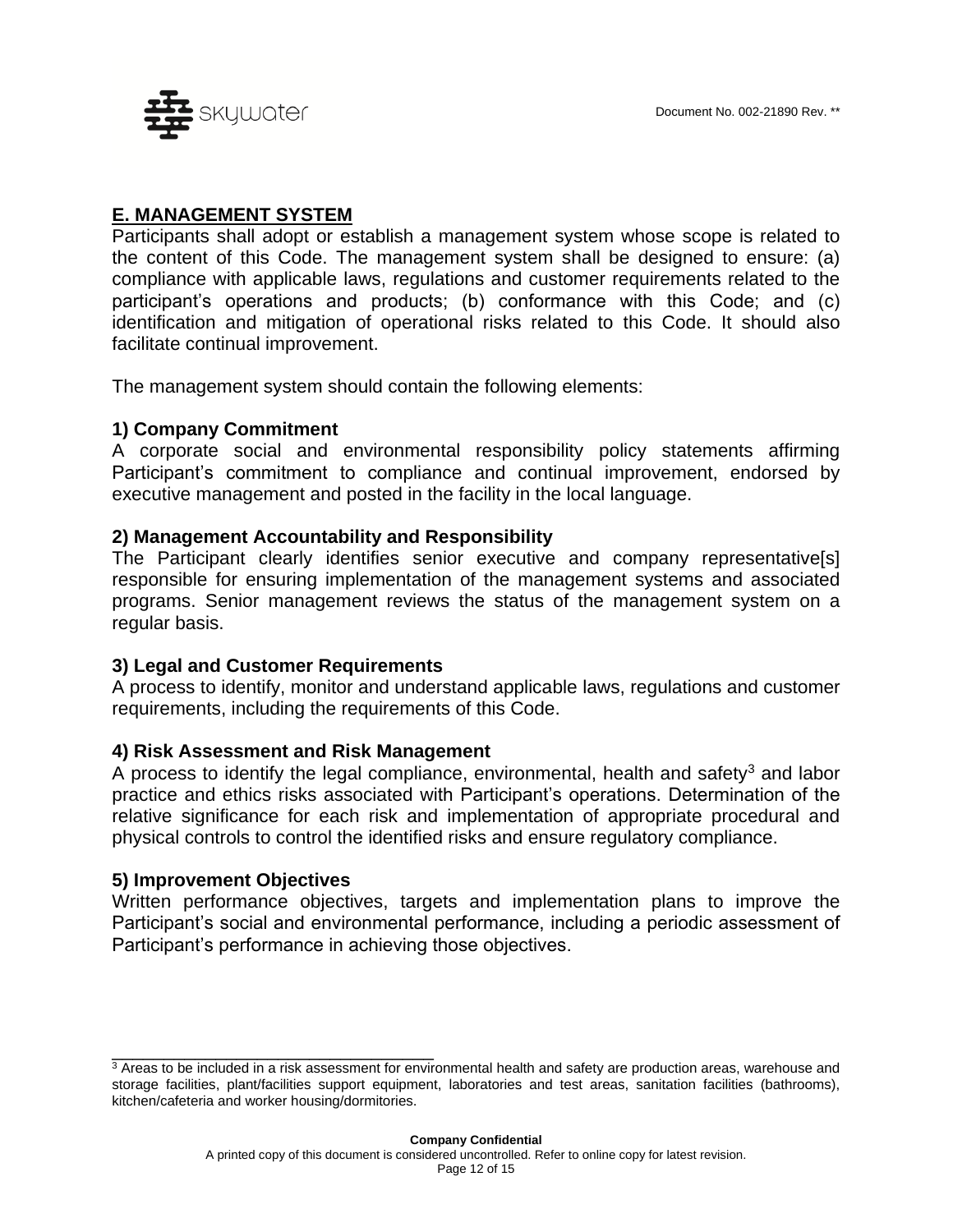#### **E. MANAGEMENT SYSTEM**

Participants shall adopt or establish a management system whose scope is related to the content of this Code. The management system shall be designed to ensure: (a) compliance with applicable laws, regulations and customer requirements related to the participant's operations and products; (b) conformance with this Code; and (c) identification and mitigation of operational risks related to this Code. It should also facilitate continual improvement.

The management system should contain the following elements:

#### **1) Company Commitment**

A corporate social and environmental responsibility policy statements affirming Participant's commitment to compliance and continual improvement, endorsed by executive management and posted in the facility in the local language.

#### **2) Management Accountability and Responsibility**

The Participant clearly identifies senior executive and company representative[s] responsible for ensuring implementation of the management systems and associated programs. Senior management reviews the status of the management system on a regular basis.

#### **3) Legal and Customer Requirements**

A process to identify, monitor and understand applicable laws, regulations and customer requirements, including the requirements of this Code.

#### **4) Risk Assessment and Risk Management**

A process to identify the legal compliance, environmental, health and safety<sup>3</sup> and labor practice and ethics risks associated with Participant's operations. Determination of the relative significance for each risk and implementation of appropriate procedural and physical controls to control the identified risks and ensure regulatory compliance.

#### **5) Improvement Objectives**

\_\_\_\_\_\_\_\_\_\_\_\_\_\_\_\_\_\_\_\_\_\_\_\_\_\_\_\_\_\_\_

Written performance objectives, targets and implementation plans to improve the Participant's social and environmental performance, including a periodic assessment of Participant's performance in achieving those objectives.

<sup>&</sup>lt;sup>3</sup> Areas to be included in a risk assessment for environmental health and safety are production areas, warehouse and storage facilities, plant/facilities support equipment, laboratories and test areas, sanitation facilities (bathrooms), kitchen/cafeteria and worker housing/dormitories.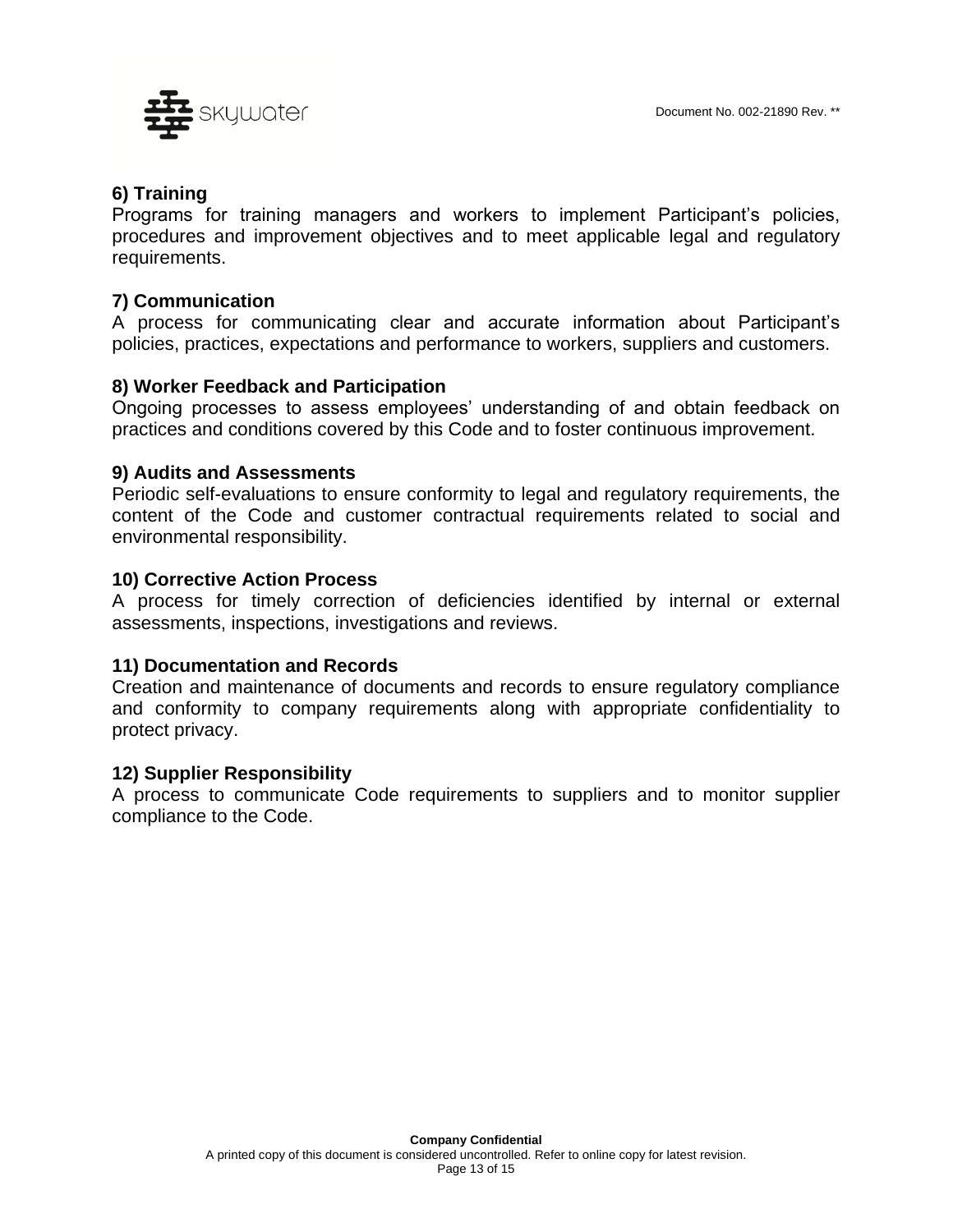

## **6) Training**

Programs for training managers and workers to implement Participant's policies, procedures and improvement objectives and to meet applicable legal and regulatory requirements.

## **7) Communication**

A process for communicating clear and accurate information about Participant's policies, practices, expectations and performance to workers, suppliers and customers.

#### **8) Worker Feedback and Participation**

Ongoing processes to assess employees' understanding of and obtain feedback on practices and conditions covered by this Code and to foster continuous improvement.

#### **9) Audits and Assessments**

Periodic self-evaluations to ensure conformity to legal and regulatory requirements, the content of the Code and customer contractual requirements related to social and environmental responsibility.

#### **10) Corrective Action Process**

A process for timely correction of deficiencies identified by internal or external assessments, inspections, investigations and reviews.

#### **11) Documentation and Records**

Creation and maintenance of documents and records to ensure regulatory compliance and conformity to company requirements along with appropriate confidentiality to protect privacy.

#### **12) Supplier Responsibility**

A process to communicate Code requirements to suppliers and to monitor supplier compliance to the Code.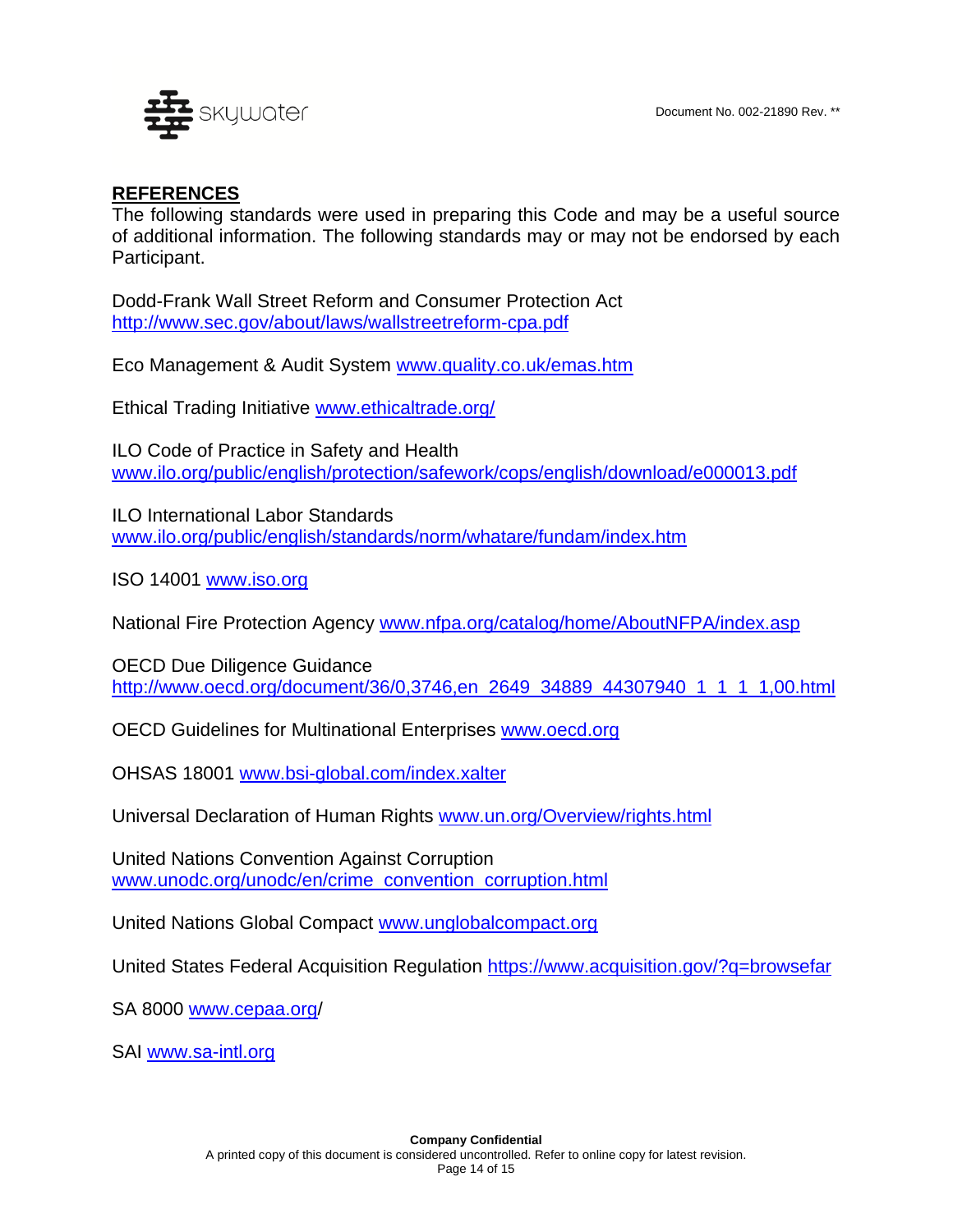Document No. 002-21890 Rev. \*\*



## **REFERENCES**

The following standards were used in preparing this Code and may be a useful source of additional information. The following standards may or may not be endorsed by each Participant.

Dodd-Frank Wall Street Reform and Consumer Protection Act <http://www.sec.gov/about/laws/wallstreetreform-cpa.pdf>

Eco Management & Audit System [www.quality.co.uk/emas.htm](../../../../goe/AppData/Local/Microsoft/Windows/Temporary%20Internet%20Files/Content.Outlook/L2W0UB0Y/www.quality.co.uk/emas.htm)

Ethical Trading Initiative [www.ethicaltrade.org/](../../../../goe/AppData/Local/Microsoft/Windows/Temporary%20Internet%20Files/Content.Outlook/L2W0UB0Y/www.ethicaltrade.org/)

ILO Code of Practice in Safety and Health [www.ilo.org/public/english/protection/safework/cops/english/download/e000013.pdf](../../../../goe/AppData/Local/Microsoft/Windows/Temporary%20Internet%20Files/Content.Outlook/L2W0UB0Y/www.ilo.org/public/english/protection/safework/cops/english/download/e000013.pdf)

ILO International Labor Standards [www.ilo.org/public/english/standards/norm/whatare/fundam/index.htm](../../../../goe/AppData/Local/Microsoft/Windows/Temporary%20Internet%20Files/Content.Outlook/L2W0UB0Y/www.ilo.org/public/english/standards/norm/whatare/fundam/index.htm)

ISO 14001 [www.iso.org](../../../../goe/AppData/Local/Microsoft/Windows/Temporary%20Internet%20Files/Content.Outlook/L2W0UB0Y/www.iso.org)

National Fire Protection Agency [www.nfpa.org/catalog/home/AboutNFPA/index.asp](../../../../goe/AppData/Local/Microsoft/Windows/Temporary%20Internet%20Files/Content.Outlook/L2W0UB0Y/www.nfpa.org/catalog/home/AboutNFPA/index.asp)

OECD Due Diligence Guidance [http://www.oecd.org/document/36/0,3746,en\\_2649\\_34889\\_44307940\\_1\\_1\\_1\\_1,00.html](http://www.oecd.org/document/36/0,3746,en_2649_34889_44307940_1_1_1_1,00.html)

OECD Guidelines for Multinational Enterprises [www.oecd.org](../../../../goe/AppData/Local/Microsoft/Windows/Temporary%20Internet%20Files/Content.Outlook/L2W0UB0Y/www.oecd.org)

OHSAS 18001 [www.bsi-global.com/index.xalter](../../../../goe/AppData/Local/Microsoft/Windows/Temporary%20Internet%20Files/Content.Outlook/L2W0UB0Y/www.bsi-global.com/index.xalter)

Universal Declaration of Human Rights [www.un.org/Overview/rights.html](../../../../goe/AppData/Local/Microsoft/Windows/Temporary%20Internet%20Files/Content.Outlook/L2W0UB0Y/www.un.org/Overview/rights.html)

United Nations Convention Against Corruption [www.unodc.org/unodc/en/crime\\_convention\\_corruption.html](../../../../goe/AppData/Local/Microsoft/Windows/Temporary%20Internet%20Files/Content.Outlook/L2W0UB0Y/www.unodc.org/unodc/en/crime_convention_corruption.html)

United Nations Global Compact [www.unglobalcompact.org](../../../../goe/AppData/Local/Microsoft/Windows/Temporary%20Internet%20Files/Content.Outlook/L2W0UB0Y/www.unglobalcompact.org)

United States Federal Acquisition Regulation<https://www.acquisition.gov/?q=browsefar>

SA 8000 [www.cepaa.org/](http://www.sec.gov/about/laws/wallstreetreform-cpa.pdf)

SAI [www.sa-intl.org](../../../../goe/AppData/Local/Microsoft/Windows/Temporary%20Internet%20Files/Content.Outlook/L2W0UB0Y/www.sa-intl.org)